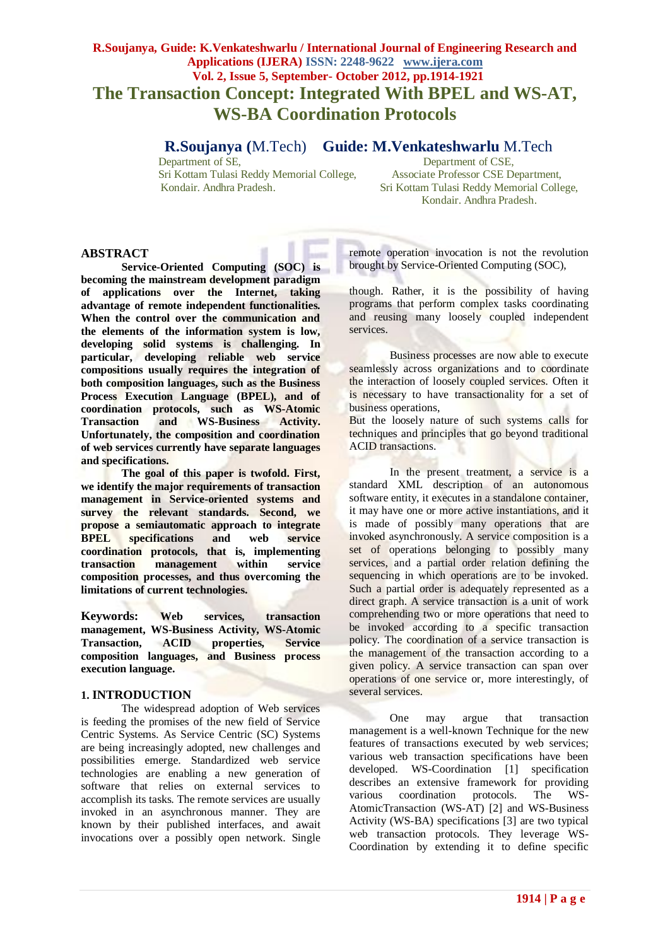# **R.Soujanya, Guide: K.Venkateshwarlu / International Journal of Engineering Research and Applications (IJERA) ISSN: 2248-9622 www.ijera.com Vol. 2, Issue 5, September- October 2012, pp.1914-1921 The Transaction Concept: Integrated With BPEL and WS-AT, WS-BA Coordination Protocols**

 **R.Soujanya (**M.Tech) **Guide: M.Venkateshwarlu** M.Tech

Sri Kottam Tulasi Reddy Memorial College,

Department of CSE,<br>Associate Professor CSE Department, Kondair. Andhra Pradesh. Sri Kottam Tulasi Reddy Memorial College, Kondair. Andhra Pradesh.

# **ABSTRACT**

**Service-Oriented Computing (SOC) is becoming the mainstream development paradigm of applications over the Internet, taking advantage of remote independent functionalities. When the control over the communication and the elements of the information system is low, developing solid systems is challenging. In particular, developing reliable web service compositions usually requires the integration of both composition languages, such as the Business Process Execution Language (BPEL), and of coordination protocols, such as WS-Atomic Transaction and WS-Business Activity. Unfortunately, the composition and coordination of web services currently have separate languages and specifications.** 

**The goal of this paper is twofold. First, we identify the major requirements of transaction management in Service-oriented systems and survey the relevant standards. Second, we propose a semiautomatic approach to integrate BPEL specifications and web service coordination protocols, that is, implementing transaction management within service composition processes, and thus overcoming the limitations of current technologies.**

**Keywords: Web services, transaction management, WS-Business Activity, WS-Atomic Transaction, ACID properties, Service composition languages, and Business process execution language.**

# **1. INTRODUCTION**

The widespread adoption of Web services is feeding the promises of the new field of Service Centric Systems. As Service Centric (SC) Systems are being increasingly adopted, new challenges and possibilities emerge. Standardized web service technologies are enabling a new generation of software that relies on external services to accomplish its tasks. The remote services are usually invoked in an asynchronous manner. They are known by their published interfaces, and await invocations over a possibly open network. Single

remote operation invocation is not the revolution brought by Service-Oriented Computing (SOC),

though. Rather, it is the possibility of having programs that perform complex tasks coordinating and reusing many loosely coupled independent services.

Business processes are now able to execute seamlessly across organizations and to coordinate the interaction of loosely coupled services. Often it is necessary to have transactionality for a set of business operations,

But the loosely nature of such systems calls for techniques and principles that go beyond traditional ACID transactions.

In the present treatment, a service is a standard XML description of an autonomous software entity, it executes in a standalone container, it may have one or more active instantiations, and it is made of possibly many operations that are invoked asynchronously. A service composition is a set of operations belonging to possibly many services, and a partial order relation defining the sequencing in which operations are to be invoked. Such a partial order is adequately represented as a direct graph. A service transaction is a unit of work comprehending two or more operations that need to be invoked according to a specific transaction policy. The coordination of a service transaction is the management of the transaction according to a given policy. A service transaction can span over operations of one service or, more interestingly, of several services.

One may argue that transaction management is a well-known Technique for the new features of transactions executed by web services; various web transaction specifications have been developed. WS-Coordination [1] specification describes an extensive framework for providing various coordination protocols. The WS-AtomicTransaction (WS-AT) [2] and WS-Business Activity (WS-BA) specifications [3] are two typical web transaction protocols. They leverage WS-Coordination by extending it to define specific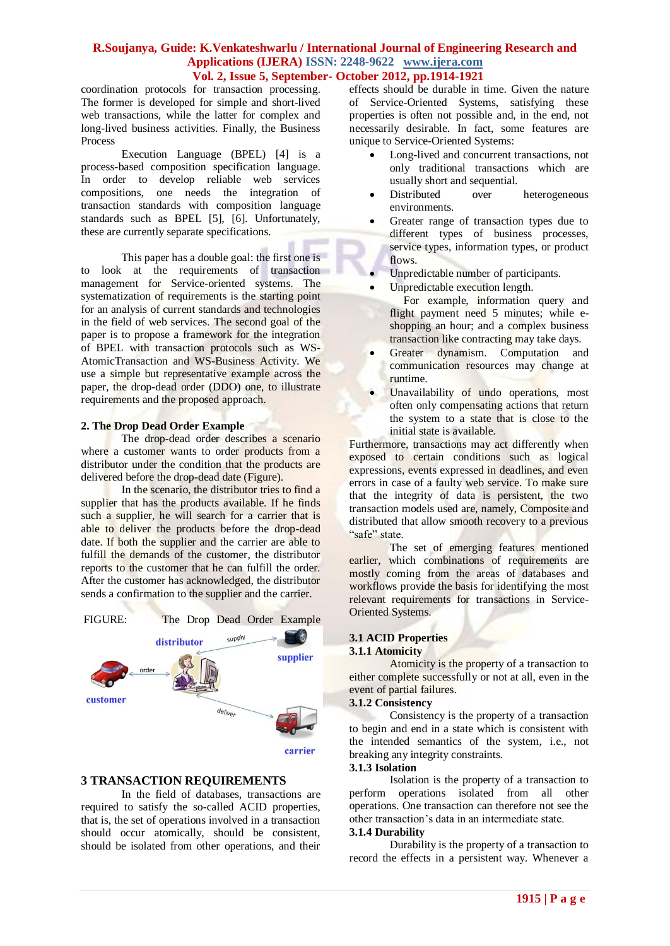coordination protocols for transaction processing. The former is developed for simple and short-lived web transactions, while the latter for complex and long-lived business activities. Finally, the Business Process

Execution Language (BPEL) [4] is a process-based composition specification language. In order to develop reliable web services compositions, one needs the integration of transaction standards with composition language standards such as BPEL [5], [6]. Unfortunately, these are currently separate specifications.

This paper has a double goal: the first one is to look at the requirements of transaction management for Service-oriented systems. The systematization of requirements is the starting point for an analysis of current standards and technologies in the field of web services. The second goal of the paper is to propose a framework for the integration of BPEL with transaction protocols such as WS-AtomicTransaction and WS-Business Activity. We use a simple but representative example across the paper, the drop-dead order (DDO) one, to illustrate requirements and the proposed approach.

#### **2. The Drop Dead Order Example**

The drop-dead order describes a scenario where a customer wants to order products from a distributor under the condition that the products are delivered before the drop-dead date (Figure).

In the scenario, the distributor tries to find a supplier that has the products available. If he finds such a supplier, he will search for a carrier that is able to deliver the products before the drop-dead date. If both the supplier and the carrier are able to fulfill the demands of the customer, the distributor reports to the customer that he can fulfill the order. After the customer has acknowledged, the distributor sends a confirmation to the supplier and the carrier.



## **3 TRANSACTION REQUIREMENTS**

In the field of databases, transactions are required to satisfy the so-called ACID properties, that is, the set of operations involved in a transaction should occur atomically, should be consistent, should be isolated from other operations, and their effects should be durable in time. Given the nature of Service-Oriented Systems, satisfying these properties is often not possible and, in the end, not necessarily desirable. In fact, some features are unique to Service-Oriented Systems:

- Long-lived and concurrent transactions, not only traditional transactions which are usually short and sequential.
- Distributed over heterogeneous environments.
- Greater range of transaction types due to different types of business processes, service types, information types, or product flows.
- Unpredictable number of participants.
- Unpredictable execution length.
	- For example, information query and flight payment need 5 minutes; while eshopping an hour; and a complex business transaction like contracting may take days.
- Greater dynamism. Computation and communication resources may change at runtime.
- Unavailability of undo operations, most often only compensating actions that return the system to a state that is close to the initial state is available.

Furthermore, transactions may act differently when exposed to certain conditions such as logical expressions, events expressed in deadlines, and even errors in case of a faulty web service. To make sure that the integrity of data is persistent, the two transaction models used are, namely, Composite and distributed that allow smooth recovery to a previous "safe" state.

The set of emerging features mentioned earlier, which combinations of requirements are mostly coming from the areas of databases and workflows provide the basis for identifying the most relevant requirements for transactions in Service-Oriented Systems.

#### **3.1 ACID Properties 3.1.1 Atomicity**

Atomicity is the property of a transaction to either complete successfully or not at all, even in the event of partial failures.

## **3.1.2 Consistency**

Consistency is the property of a transaction to begin and end in a state which is consistent with the intended semantics of the system, i.e., not breaking any integrity constraints.

# **3.1.3 Isolation**

Isolation is the property of a transaction to perform operations isolated from all other operations. One transaction can therefore not see the other transaction"s data in an intermediate state.

# **3.1.4 Durability**

Durability is the property of a transaction to record the effects in a persistent way. Whenever a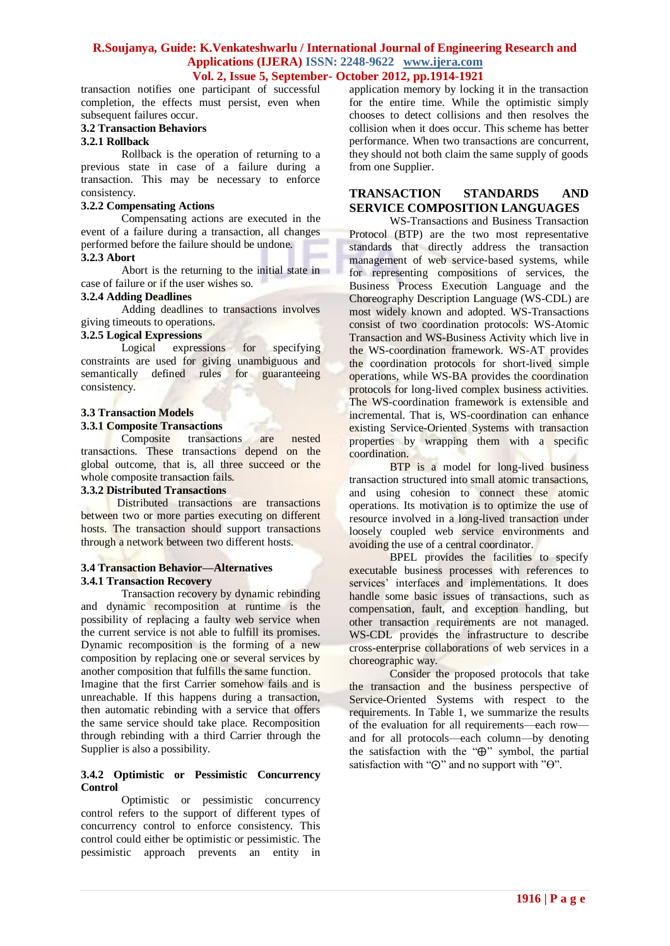transaction notifies one participant of successful completion, the effects must persist, even when subsequent failures occur.

## **3.2 Transaction Behaviors**

# **3.2.1 Rollback**

Rollback is the operation of returning to a previous state in case of a failure during a transaction. This may be necessary to enforce consistency.

## **3.2.2 Compensating Actions**

Compensating actions are executed in the event of a failure during a transaction, all changes performed before the failure should be undone. **3.2.3 Abort**

Abort is the returning to the initial state in case of failure or if the user wishes so.

## **3.2.4 Adding Deadlines**

Adding deadlines to transactions involves giving timeouts to operations.

# **3.2.5 Logical Expressions**

Logical expressions for specifying constraints are used for giving unambiguous and semantically defined rules for guaranteeing consistency.

# **3.3 Transaction Models**

# **3.3.1 Composite Transactions**

Composite transactions are nested transactions. These transactions depend on the global outcome, that is, all three succeed or the whole composite transaction fails.

# **3.3.2 Distributed Transactions**

 Distributed transactions are transactions between two or more parties executing on different hosts. The transaction should support transactions through a network between two different hosts.

#### **3.4 Transaction Behavior—Alternatives 3.4.1 Transaction Recovery**

Transaction recovery by dynamic rebinding and dynamic recomposition at runtime is the possibility of replacing a faulty web service when the current service is not able to fulfill its promises. Dynamic recomposition is the forming of a new composition by replacing one or several services by another composition that fulfills the same function.

Imagine that the first Carrier somehow fails and is unreachable. If this happens during a transaction, then automatic rebinding with a service that offers the same service should take place. Recomposition through rebinding with a third Carrier through the Supplier is also a possibility.

#### **3.4.2 Optimistic or Pessimistic Concurrency Control**

Optimistic or pessimistic concurrency control refers to the support of different types of concurrency control to enforce consistency. This control could either be optimistic or pessimistic. The pessimistic approach prevents an entity in application memory by locking it in the transaction for the entire time. While the optimistic simply chooses to detect collisions and then resolves the collision when it does occur. This scheme has better performance. When two transactions are concurrent, they should not both claim the same supply of goods from one Supplier.

# **TRANSACTION STANDARDS AND SERVICE COMPOSITION LANGUAGES**

WS-Transactions and Business Transaction Protocol (BTP) are the two most representative standards that directly address the transaction management of web service-based systems, while for representing compositions of services, the Business Process Execution Language and the Choreography Description Language (WS-CDL) are most widely known and adopted. WS-Transactions consist of two coordination protocols: WS-Atomic Transaction and WS-Business Activity which live in the WS-coordination framework. WS-AT provides the coordination protocols for short-lived simple operations, while WS-BA provides the coordination protocols for long-lived complex business activities. The WS-coordination framework is extensible and incremental. That is, WS-coordination can enhance existing Service-Oriented Systems with transaction properties by wrapping them with a specific coordination.

BTP is a model for long-lived business transaction structured into small atomic transactions, and using cohesion to connect these atomic operations. Its motivation is to optimize the use of resource involved in a long-lived transaction under loosely coupled web service environments and avoiding the use of a central coordinator.

BPEL provides the facilities to specify executable business processes with references to services' interfaces and implementations. It does handle some basic issues of transactions, such as compensation, fault, and exception handling, but other transaction requirements are not managed. WS-CDL provides the infrastructure to describe cross-enterprise collaborations of web services in a choreographic way.

Consider the proposed protocols that take the transaction and the business perspective of Service-Oriented Systems with respect to the requirements. In Table 1, we summarize the results of the evaluation for all requirements—each row and for all protocols—each column—by denoting the satisfaction with the " $\oplus$ " symbol, the partial satisfaction with " $\odot$ " and no support with " $\Theta$ ".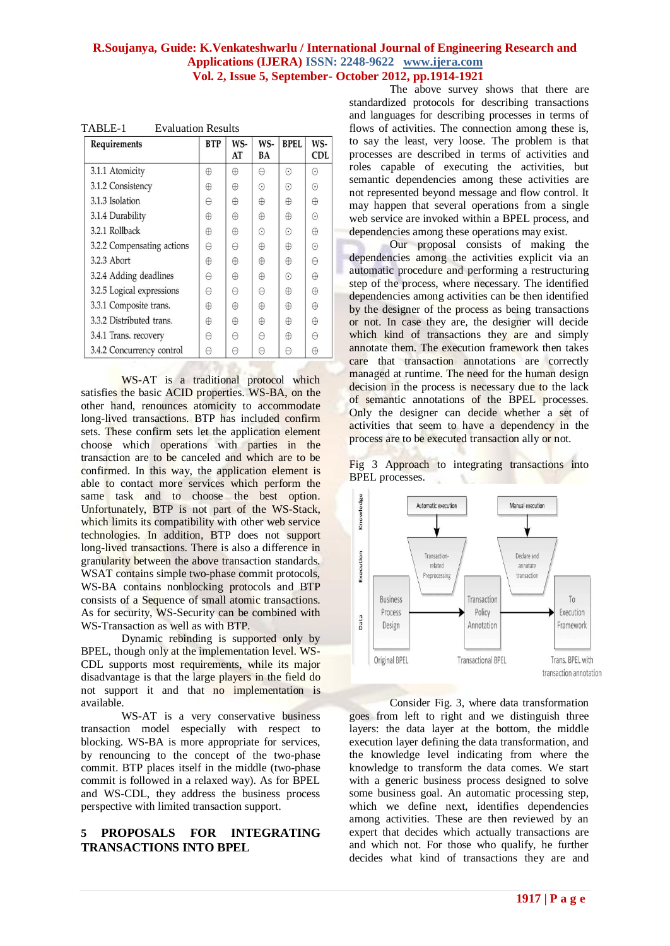| TABLE-1 | <b>Evaluation Results</b> |  |
|---------|---------------------------|--|
|         |                           |  |

| Requirements               | <b>BTP</b> | WS-<br>AT | WS-<br>BA | <b>BPEL</b> | WS-<br><b>CDL</b> |
|----------------------------|------------|-----------|-----------|-------------|-------------------|
| 3.1.1 Atomicity            | $\oplus$   | $\oplus$  | θ         | $\odot$     | $\odot$           |
| 3.1.2 Consistency          | $\oplus$   | $\oplus$  | $\odot$   | $\odot$     | $\odot$           |
| 3.1.3 Isolation            | $\Theta$   | $\oplus$  | $\oplus$  | $\oplus$    | $\oplus$          |
| 3.1.4 Durability           | $\oplus$   | $\oplus$  | $\oplus$  | $\oplus$    | $\odot$           |
| 3.2.1 Rollback             | $\oplus$   | $\oplus$  | $\odot$   | $\odot$     | $\oplus$          |
| 3.2.2 Compensating actions | $\Theta$   | A         | $\oplus$  | $\oplus$    | $\odot$           |
| 3.2.3 Abort                | $\oplus$   | $\oplus$  | $\oplus$  | $\oplus$    | $\Theta$          |
| 3.2.4 Adding deadlines     | A          | $\oplus$  | $\oplus$  | $\odot$     | $\oplus$          |
| 3.2.5 Logical expressions  | A          | $\Theta$  | $\ominus$ | $\oplus$    | ⊕                 |
| 3.3.1 Composite trans.     | $\oplus$   | $\oplus$  | $\oplus$  | $\oplus$    | $\oplus$          |
| 3.3.2 Distributed trans.   | $\oplus$   | $\oplus$  | $\oplus$  | $\oplus$    | $\oplus$          |
| 3.4.1 Trans. recovery      | $\ominus$  | $\ominus$ | $\ominus$ | $\oplus$    | A                 |
| 3.4.2 Concurrency control  | $\Theta$   | $\Theta$  | $\Theta$  | $\Theta$    | $\oplus$          |

WS-AT is a traditional protocol which satisfies the basic ACID properties. WS-BA, on the other hand, renounces atomicity to accommodate long-lived transactions. BTP has included confirm sets. These confirm sets let the application element choose which operations with parties in the transaction are to be canceled and which are to be confirmed. In this way, the application element is able to contact more services which perform the same task and to choose the best option. Unfortunately, BTP is not part of the WS-Stack, which limits its compatibility with other web service technologies. In addition, BTP does not support long-lived transactions. There is also a difference in granularity between the above transaction standards. WSAT contains simple two-phase commit protocols. WS-BA contains nonblocking protocols and BTP consists of a Sequence of small atomic transactions. As for security, WS-Security can be combined with WS-Transaction as well as with BTP.

Dynamic rebinding is supported only by BPEL, though only at the implementation level. WS-CDL supports most requirements, while its major disadvantage is that the large players in the field do not support it and that no implementation is available.

WS-AT is a very conservative business transaction model especially with respect to blocking. WS-BA is more appropriate for services, by renouncing to the concept of the two-phase commit. BTP places itself in the middle (two-phase commit is followed in a relaxed way). As for BPEL and WS-CDL, they address the business process perspective with limited transaction support.

# **5 PROPOSALS FOR INTEGRATING TRANSACTIONS INTO BPEL**

The above survey shows that there are standardized protocols for describing transactions and languages for describing processes in terms of flows of activities. The connection among these is, to say the least, very loose. The problem is that processes are described in terms of activities and roles capable of executing the activities, but semantic dependencies among these activities are not represented beyond message and flow control. It may happen that several operations from a single web service are invoked within a BPEL process, and dependencies among these operations may exist.

Our proposal consists of making the dependencies among the activities explicit via an automatic procedure and performing a restructuring step of the process, where necessary. The identified dependencies among activities can be then identified by the designer of the process as being transactions or not. In case they are, the designer will decide which kind of transactions they are and simply annotate them. The execution framework then takes care that transaction annotations are correctly managed at runtime. The need for the human design decision in the process is necessary due to the lack of semantic annotations of the BPEL processes. Only the designer can decide whether a set of activities that seem to have a dependency in the process are to be executed transaction ally or not.





Consider Fig. 3, where data transformation goes from left to right and we distinguish three layers: the data layer at the bottom, the middle execution layer defining the data transformation, and the knowledge level indicating from where the knowledge to transform the data comes. We start with a generic business process designed to solve some business goal. An automatic processing step, which we define next, identifies dependencies among activities. These are then reviewed by an expert that decides which actually transactions are and which not. For those who qualify, he further decides what kind of transactions they are and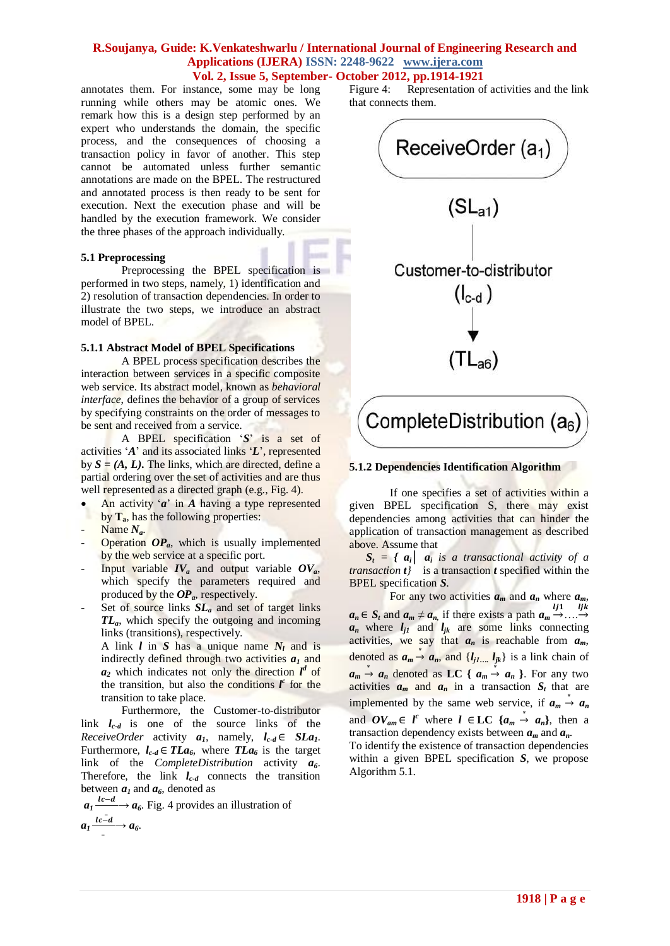annotates them. For instance, some may be long running while others may be atomic ones. We remark how this is a design step performed by an expert who understands the domain, the specific process, and the consequences of choosing a transaction policy in favor of another. This step cannot be automated unless further semantic annotations are made on the BPEL. The restructured and annotated process is then ready to be sent for execution. Next the execution phase and will be handled by the execution framework. We consider the three phases of the approach individually.

#### **5.1 Preprocessing**

Preprocessing the BPEL specification is performed in two steps, namely, 1) identification and 2) resolution of transaction dependencies. In order to illustrate the two steps, we introduce an abstract model of BPEL.

#### **5.1.1 Abstract Model of BPEL Specifications**

A BPEL process specification describes the interaction between services in a specific composite web service. Its abstract model, known as *behavioral interface*, defines the behavior of a group of services by specifying constraints on the order of messages to be sent and received from a service.

A BPEL specification "*S*" is a set of activities "*A*" and its associated links "*L*", represented by  $S = (A, L)$ **.** The links, which are directed, define a partial ordering over the set of activities and are thus well represented as a directed graph (e.g., Fig. 4).

- An activity "*a*" in *A* having a type represented by **Ta**, has the following properties:
- Name *Na*.
- Operation OP<sub>a</sub>, which is usually implemented by the web service at a specific port.
- Input variable  $IV_a$  and output variable  $OV_a$ , which specify the parameters required and produced by the *OPa*, respectively.
- Set of source links  $SL_a$  and set of target links *TLa*, which specify the outgoing and incoming links (transitions), respectively.

A link *l* in *S* has a unique name *N<sup>l</sup>* and is indirectly defined through two activities *a<sup>1</sup>* and  $a_2$  which indicates not only the direction  $l^d$  of the transition, but also the conditions  *for the* transition to take place.

Furthermore, the Customer-to-distributor link *lc-d* is one of the source links of the *ReceiveOrder* activity  $a_1$ , namely,  $l_{c-d} \in SLa_1$ . Furthermore,  $l_{c-d} \in TLa_6$ , where  $TLa_6$  is the target link of the *CompleteDistribution* activity *a6*. Therefore, the link *lc-d* connects the transition between  $a_1$  and  $a_6$ , denoted as

 $a_1 \frac{l c - d}{ }$  $\frac{-a}{a}$   $\rightarrow$  *a*<sub>6</sub>. Fig. 4 provides an illustration of  $a_1 \frac{l c - d}{ }$  $\frac{a}{\cdot} \rightarrow a_6.$ 

Figure 4: Representation of activities and the link that connects them.



## **5.1.2 Dependencies Identification Algorithm**

If one specifies a set of activities within a given BPEL specification S, there may exist dependencies among activities that can hinder the application of transaction management as described above. Assume that

 $S_t = \{ a_i \mid a_i \text{ is a transactional activity of } a \}$ *transaction t}* is a transaction *t* specified within the BPEL specification *S*.

For any two activities  $a_m$  and  $a_n$  where  $a_m$ , *a*<sub>*n*</sub> ∈ *S*<sub>*t*</sub> and *a*<sub>*m*</sub>  $\neq$  *a*<sub>*n*</sub>, if there exists a path *a*<sub>*m*</sub> → ....→  $a_n$  where  $l_{j1}$  and  $l_{jk}$  are some links connecting activities, we say that  $a_n$  is reachable from  $a_m$ , denoted as  $a_m \stackrel{*}{\rightarrow} a_n$ , and  $\{l_{j1} \dots l_{jk}\}$  is a link chain of  $a_m \stackrel{*}{\rightarrow} a_n$  denoted as **LC** {  $a_m \stackrel{*}{\rightarrow} a_n$  }. For any two activities  $a_m$  and  $a_n$  in a transaction  $S_t$  that are implemented by the same web service, if  $a_m \stackrel{*}{\rightarrow} a_n$ and  $OV_{am} \in l^c$  where  $l \in LC$  { $a_m \stackrel{*}{\rightarrow} a_n$ }, then a transaction dependency exists between  $a_m$  and  $a_n$ .

To identify the existence of transaction dependencies within a given BPEL specification *S*, we propose Algorithm 5.1.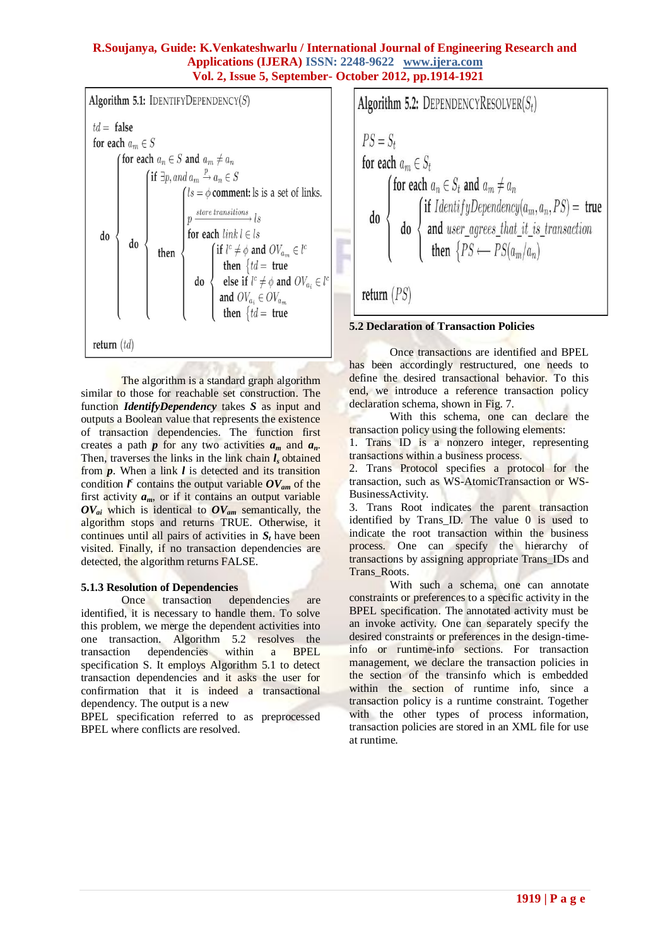

The algorithm is a standard graph algorithm similar to those for reachable set construction. The function *IdentifyDependency* takes *S* as input and outputs a Boolean value that represents the existence of transaction dependencies. The function first creates a path  $p$  for any two activities  $a_m$  and  $a_n$ . Then, traverses the links in the link chain  $l_s$  obtained from *p*. When a link *l* is detected and its transition condition  $l^c$  contains the output variable  $OV_{am}$  of the first activity  $a_m$ , or if it contains an output variable *OVai* which is identical to *OVam* semantically, the algorithm stops and returns TRUE. Otherwise, it continues until all pairs of activities in *S<sup>t</sup>* have been visited. Finally, if no transaction dependencies are detected, the algorithm returns FALSE.

## **5.1.3 Resolution of Dependencies**

Once transaction dependencies are identified, it is necessary to handle them. To solve this problem, we merge the dependent activities into one transaction. Algorithm 5.2 resolves the transaction dependencies within a BPEL specification S. It employs Algorithm 5.1 to detect transaction dependencies and it asks the user for confirmation that it is indeed a transactional dependency. The output is a new

BPEL specification referred to as preprocessed BPEL where conflicts are resolved.

Algorithm 5.2: DEPENDENCYRESOLVER
$$
(S_t)
$$
  
\n $PS = S_t$   
\nfor each  $a_m \in S_t$   
\nfor each  $a_n \in S_t$  and  $a_m \neq a_n$   
\ndo\n
$$
\begin{cases}\n\text{for each } a_n \in S_t \text{ and } a_m \neq a_n \\
\text{if } IdentityDependercy(a_m, a_n, PS) = \text{true} \\
\text{and } user\_agrees\_that\_it\_is\_transaction \\
\text{then } \{PS \longleftarrow PS(a_m/a_n)\n\end{cases}
$$
\nreturn  $(PS)$ 

# **5.2 Declaration of Transaction Policies**

Once transactions are identified and BPEL has been accordingly restructured, one needs to define the desired transactional behavior. To this end, we introduce a reference transaction policy declaration schema, shown in Fig. 7.

With this schema, one can declare the transaction policy using the following elements:

1. Trans ID is a nonzero integer, representing transactions within a business process.

2. Trans Protocol specifies a protocol for the transaction, such as WS-AtomicTransaction or WS-BusinessActivity.

3. Trans Root indicates the parent transaction identified by Trans\_ID. The value 0 is used to indicate the root transaction within the business process. One can specify the hierarchy of transactions by assigning appropriate Trans\_IDs and Trans\_Roots.

With such a schema, one can annotate constraints or preferences to a specific activity in the BPEL specification. The annotated activity must be an invoke activity. One can separately specify the desired constraints or preferences in the design-timeinfo or runtime-info sections. For transaction management, we declare the transaction policies in the section of the transinfo which is embedded within the section of runtime info, since a transaction policy is a runtime constraint. Together with the other types of process information, transaction policies are stored in an XML file for use at runtime.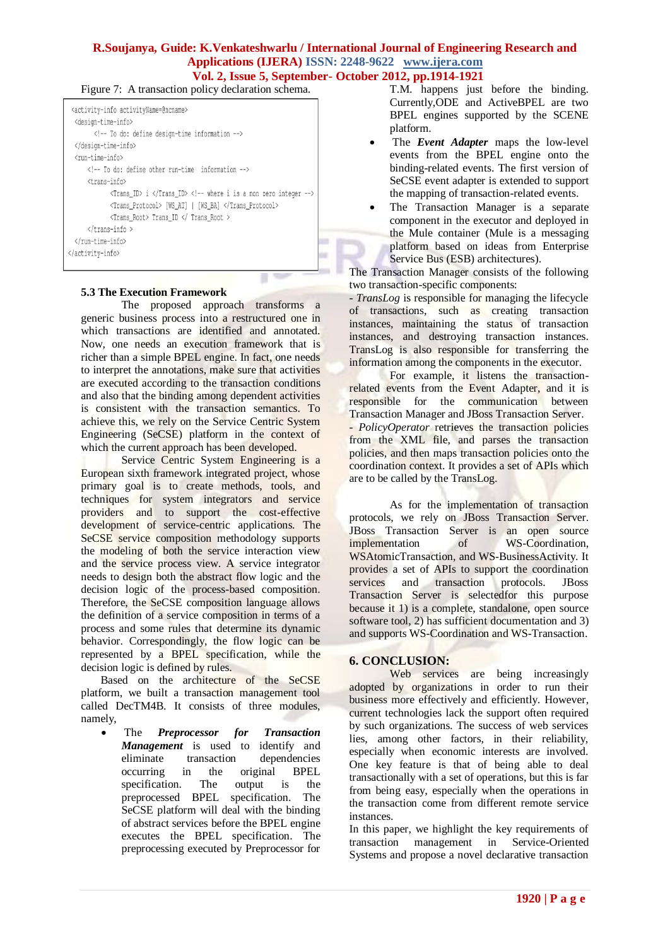Figure 7: A transaction policy declaration schema.

| <activity-info activityname="@ncname"><br/><design-time-info><br/><!-- To do: define design-time information --><br/></design-time-info><br/><run-time-info><br/><!-- To do: define other run-time information --><br/><trans-info><br/><math>\frac{1}{2}</math> <trans_id> i </trans_id> <!-- where i is a non zero integer --><br/><trans_protocol> [WS_AT]   [WS_BA] </trans_protocol></trans-info></run-time-info></activity-info> |  |
|----------------------------------------------------------------------------------------------------------------------------------------------------------------------------------------------------------------------------------------------------------------------------------------------------------------------------------------------------------------------------------------------------------------------------------------|--|
| <trans_root> Trans_ID </trans_root>                                                                                                                                                                                                                                                                                                                                                                                                    |  |
| $\langle$ /trans-info >                                                                                                                                                                                                                                                                                                                                                                                                                |  |
|                                                                                                                                                                                                                                                                                                                                                                                                                                        |  |
|                                                                                                                                                                                                                                                                                                                                                                                                                                        |  |

# **5.3 The Execution Framework**

The proposed approach transforms a generic business process into a restructured one in which transactions are identified and annotated. Now, one needs an execution framework that is richer than a simple BPEL engine. In fact, one needs to interpret the annotations, make sure that activities are executed according to the transaction conditions and also that the binding among dependent activities is consistent with the transaction semantics. To achieve this, we rely on the Service Centric System Engineering (SeCSE) platform in the context of which the current approach has been developed.

Service Centric System Engineering is a European sixth framework integrated project, whose primary goal is to create methods, tools, and techniques for system integrators and service providers and to support the cost-effective development of service-centric applications. The SeCSE service composition methodology supports the modeling of both the service interaction view and the service process view. A service integrator needs to design both the abstract flow logic and the decision logic of the process-based composition. Therefore, the SeCSE composition language allows the definition of a service composition in terms of a process and some rules that determine its dynamic behavior. Correspondingly, the flow logic can be represented by a BPEL specification, while the decision logic is defined by rules.

 Based on the architecture of the SeCSE platform, we built a transaction management tool called DecTM4B. It consists of three modules, namely,

 The *Preprocessor for Transaction Management* is used to identify and eliminate transaction dependencies occurring in the original BPEL specification. The output is the preprocessed BPEL specification. The SeCSE platform will deal with the binding of abstract services before the BPEL engine executes the BPEL specification. The preprocessing executed by Preprocessor for

T.M. happens just before the binding. Currently,ODE and ActiveBPEL are two BPEL engines supported by the SCENE platform.

- The *Event Adapter* maps the low-level events from the BPEL engine onto the binding-related events. The first version of SeCSE event adapter is extended to support the mapping of transaction-related events.
- The Transaction Manager is a separate component in the executor and deployed in the Mule container (Mule is a messaging platform based on ideas from Enterprise Service Bus (ESB) architectures).

The Transaction Manager consists of the following two transaction-specific components:

- *TransLog* is responsible for managing the lifecycle of transactions, such as creating transaction instances, maintaining the status of transaction instances, and destroying transaction instances. TransLog is also responsible for transferring the information among the components in the executor.

For example, it listens the transactionrelated events from the Event Adapter, and it is responsible for the communication between Transaction Manager and JBoss Transaction Server. - *PolicyOperator* retrieves the transaction policies from the XML file, and parses the transaction policies, and then maps transaction policies onto the coordination context. It provides a set of APIs which are to be called by the TransLog.

As for the implementation of transaction protocols, we rely on JBoss Transaction Server. JBoss Transaction Server is an open source<br>
implementation of WS-Coordination. implementation of WS-Coordination, WSAtomicTransaction, and WS-BusinessActivity. It provides a set of APIs to support the coordination services and transaction protocols. JBoss Transaction Server is selectedfor this purpose because it 1) is a complete, standalone, open source software tool, 2) has sufficient documentation and 3) and supports WS-Coordination and WS-Transaction.

# **6. CONCLUSION:**

Web services are being increasingly adopted by organizations in order to run their business more effectively and efficiently. However, current technologies lack the support often required by such organizations. The success of web services lies, among other factors, in their reliability, especially when economic interests are involved. One key feature is that of being able to deal transactionally with a set of operations, but this is far from being easy, especially when the operations in the transaction come from different remote service instances.

In this paper, we highlight the key requirements of transaction management in Service-Oriented Systems and propose a novel declarative transaction